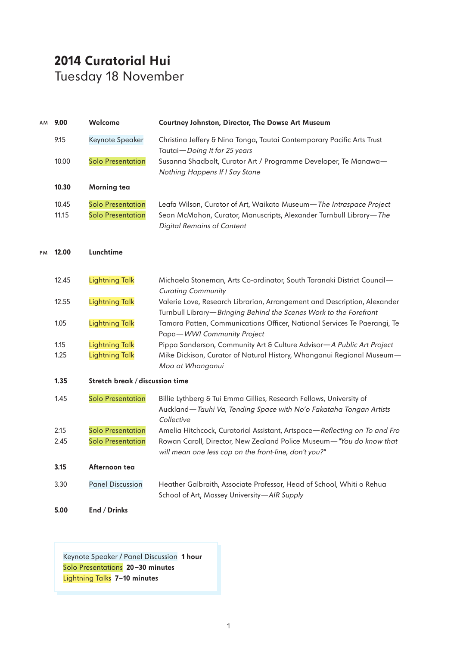## **2014 Curatorial Hui** Tuesday 18 November

| AM | 9.00           | Welcome                                              | Courtney Johnston, Director, The Dowse Art Museum                                                                                                                              |
|----|----------------|------------------------------------------------------|--------------------------------------------------------------------------------------------------------------------------------------------------------------------------------|
|    | 9.15           | Keynote Speaker                                      | Christina Jeffery & Nina Tonga, Tautai Contemporary Pacific Arts Trust<br>Tautai-Doing It for 25 years                                                                         |
|    | 10.00          | <b>Solo Presentation</b>                             | Susanna Shadbolt, Curator Art / Programme Developer, Te Manawa-<br>Nothing Happens If I Say Stone                                                                              |
|    | 10.30          | <b>Morning tea</b>                                   |                                                                                                                                                                                |
|    | 10.45<br>11.15 | <b>Solo Presentation</b><br><b>Solo Presentation</b> | Leafa Wilson, Curator of Art, Waikato Museum-The Intraspace Project<br>Sean McMahon, Curator, Manuscripts, Alexander Turnbull Library-The<br><b>Digital Remains of Content</b> |
| PM | 12.00          | Lunchtime                                            |                                                                                                                                                                                |
|    | 12.45          | <b>Lightning Talk</b>                                | Michaela Stoneman, Arts Co-ordinator, South Taranaki District Council-<br><b>Curating Community</b>                                                                            |
|    | 12.55          | <b>Lightning Talk</b>                                | Valerie Love, Research Librarian, Arrangement and Description, Alexander<br>Turnbull Library-Bringing Behind the Scenes Work to the Forefront                                  |
|    | 1.05           | <b>Lightning Talk</b>                                | Tamara Patten, Communications Officer, National Services Te Paerangi, Te<br>Papa-WWI Community Project                                                                         |
|    | 1.15           | <b>Lightning Talk</b>                                | Pippa Sanderson, Community Art & Culture Advisor-A Public Art Project                                                                                                          |
|    | 1.25           | <b>Lightning Talk</b>                                | Mike Dickison, Curator of Natural History, Whanganui Regional Museum-<br>Moa at Whanganui                                                                                      |
|    | 1.35           | Stretch break / discussion time                      |                                                                                                                                                                                |
|    | 1.45           | <b>Solo Presentation</b>                             | Billie Lythberg & Tui Emma Gillies, Research Fellows, University of<br>Auckland-Tauhi Va, Tending Space with No'o Fakataha Tongan Artists<br>Collective                        |
|    | 2.15           | <b>Solo Presentation</b>                             | Amelia Hitchcock, Curatorial Assistant, Artspace-Reflecting on To and Fro                                                                                                      |
|    | 2.45           | <b>Solo Presentation</b>                             | Rowan Caroll, Director, New Zealand Police Museum-"You do know that<br>will mean one less cop on the front-line, don't you?"                                                   |
|    | 3.15           | Afternoon tea                                        |                                                                                                                                                                                |
|    | 3.30           | <b>Panel Discussion</b>                              | Heather Galbraith, Associate Professor, Head of School, Whiti o Rehua<br>School of Art, Massey University-AIR Supply                                                           |
|    | 5.00           | End / Drinks                                         |                                                                                                                                                                                |

Keynote Speaker / Panel Discussion **1 hour** Solo Presentations **20—30 minutes** Lightning Talks **7—10 minutes**